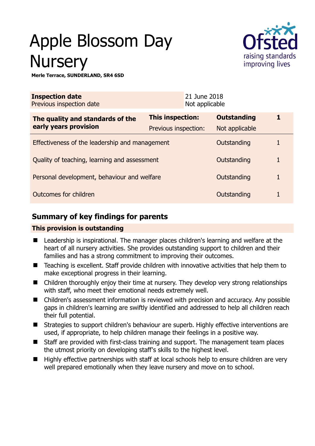# Apple Blossom Day **Nursery**



**Merle Terrace, SUNDERLAND, SR4 6SD** 

| <b>Inspection date</b><br>Previous inspection date        |                      | 21 June 2018<br>Not applicable |                    |              |
|-----------------------------------------------------------|----------------------|--------------------------------|--------------------|--------------|
| The quality and standards of the<br>early years provision | This inspection:     |                                | <b>Outstanding</b> | 1            |
|                                                           | Previous inspection: |                                | Not applicable     |              |
| Effectiveness of the leadership and management            |                      |                                | Outstanding        |              |
| Quality of teaching, learning and assessment              |                      |                                | Outstanding        | $\mathbf{1}$ |
| Personal development, behaviour and welfare               |                      |                                | Outstanding        | 1            |
| Outcomes for children                                     |                      |                                | Outstanding        |              |

# **Summary of key findings for parents**

## **This provision is outstanding**

- Leadership is inspirational. The manager places children's learning and welfare at the heart of all nursery activities. She provides outstanding support to children and their families and has a strong commitment to improving their outcomes.
- Teaching is excellent. Staff provide children with innovative activities that help them to make exceptional progress in their learning.
- Children thoroughly enjoy their time at nursery. They develop very strong relationships with staff, who meet their emotional needs extremely well.
- Children's assessment information is reviewed with precision and accuracy. Any possible gaps in children's learning are swiftly identified and addressed to help all children reach their full potential.
- Strategies to support children's behaviour are superb. Highly effective interventions are used, if appropriate, to help children manage their feelings in a positive way.
- Staff are provided with first-class training and support. The management team places the utmost priority on developing staff's skills to the highest level.
- Highly effective partnerships with staff at local schools help to ensure children are very well prepared emotionally when they leave nursery and move on to school.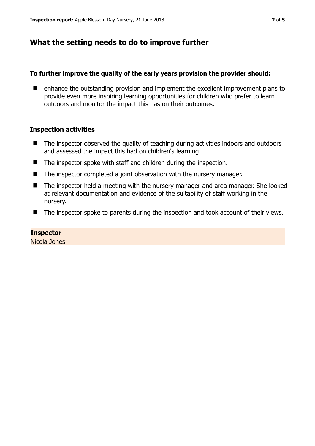# **What the setting needs to do to improve further**

## **To further improve the quality of the early years provision the provider should:**

■ enhance the outstanding provision and implement the excellent improvement plans to provide even more inspiring learning opportunities for children who prefer to learn outdoors and monitor the impact this has on their outcomes.

## **Inspection activities**

- The inspector observed the quality of teaching during activities indoors and outdoors and assessed the impact this had on children's learning.
- The inspector spoke with staff and children during the inspection.
- The inspector completed a joint observation with the nursery manager.
- The inspector held a meeting with the nursery manager and area manager. She looked at relevant documentation and evidence of the suitability of staff working in the nursery.
- The inspector spoke to parents during the inspection and took account of their views.

## **Inspector**

Nicola Jones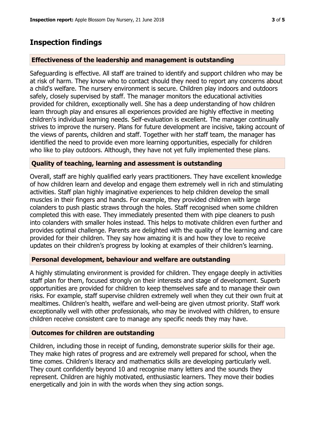## **Inspection findings**

### **Effectiveness of the leadership and management is outstanding**

Safeguarding is effective. All staff are trained to identify and support children who may be at risk of harm. They know who to contact should they need to report any concerns about a child's welfare. The nursery environment is secure. Children play indoors and outdoors safely, closely supervised by staff. The manager monitors the educational activities provided for children, exceptionally well. She has a deep understanding of how children learn through play and ensures all experiences provided are highly effective in meeting children's individual learning needs. Self-evaluation is excellent. The manager continually strives to improve the nursery. Plans for future development are incisive, taking account of the views of parents, children and staff. Together with her staff team, the manager has identified the need to provide even more learning opportunities, especially for children who like to play outdoors. Although, they have not yet fully implemented these plans.

### **Quality of teaching, learning and assessment is outstanding**

Overall, staff are highly qualified early years practitioners. They have excellent knowledge of how children learn and develop and engage them extremely well in rich and stimulating activities. Staff plan highly imaginative experiences to help children develop the small muscles in their fingers and hands. For example, they provided children with large colanders to push plastic straws through the holes. Staff recognised when some children completed this with ease. They immediately presented them with pipe cleaners to push into colanders with smaller holes instead. This helps to motivate children even further and provides optimal challenge. Parents are delighted with the quality of the learning and care provided for their children. They say how amazing it is and how they love to receive updates on their children's progress by looking at examples of their children's learning.

## **Personal development, behaviour and welfare are outstanding**

A highly stimulating environment is provided for children. They engage deeply in activities staff plan for them, focused strongly on their interests and stage of development. Superb opportunities are provided for children to keep themselves safe and to manage their own risks. For example, staff supervise children extremely well when they cut their own fruit at mealtimes. Children's health, welfare and well-being are given utmost priority. Staff work exceptionally well with other professionals, who may be involved with children, to ensure children receive consistent care to manage any specific needs they may have.

#### **Outcomes for children are outstanding**

Children, including those in receipt of funding, demonstrate superior skills for their age. They make high rates of progress and are extremely well prepared for school, when the time comes. Children's literacy and mathematics skills are developing particularly well. They count confidently beyond 10 and recognise many letters and the sounds they represent. Children are highly motivated, enthusiastic learners. They move their bodies energetically and join in with the words when they sing action songs.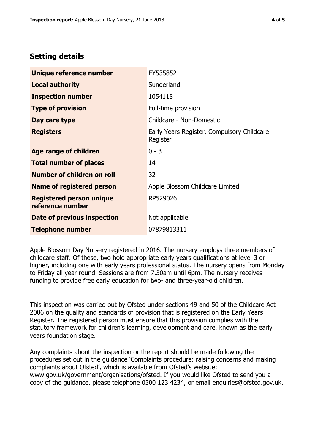# **Setting details**

| Unique reference number                             | EY535852                                               |  |  |
|-----------------------------------------------------|--------------------------------------------------------|--|--|
| <b>Local authority</b>                              | Sunderland                                             |  |  |
| <b>Inspection number</b>                            | 1054118                                                |  |  |
| <b>Type of provision</b>                            | Full-time provision                                    |  |  |
| Day care type                                       | Childcare - Non-Domestic                               |  |  |
| <b>Registers</b>                                    | Early Years Register, Compulsory Childcare<br>Register |  |  |
| Age range of children                               | $0 - 3$                                                |  |  |
| <b>Total number of places</b>                       | 14                                                     |  |  |
| Number of children on roll                          | 32                                                     |  |  |
| Name of registered person                           | Apple Blossom Childcare Limited                        |  |  |
| <b>Registered person unique</b><br>reference number | RP529026                                               |  |  |
| Date of previous inspection                         | Not applicable                                         |  |  |
| <b>Telephone number</b>                             | 07879813311                                            |  |  |

Apple Blossom Day Nursery registered in 2016. The nursery employs three members of childcare staff. Of these, two hold appropriate early years qualifications at level 3 or higher, including one with early years professional status. The nursery opens from Monday to Friday all year round. Sessions are from 7.30am until 6pm. The nursery receives funding to provide free early education for two- and three-year-old children.

This inspection was carried out by Ofsted under sections 49 and 50 of the Childcare Act 2006 on the quality and standards of provision that is registered on the Early Years Register. The registered person must ensure that this provision complies with the statutory framework for children's learning, development and care, known as the early years foundation stage.

Any complaints about the inspection or the report should be made following the procedures set out in the guidance 'Complaints procedure: raising concerns and making complaints about Ofsted', which is available from Ofsted's website: www.gov.uk/government/organisations/ofsted. If you would like Ofsted to send you a copy of the guidance, please telephone 0300 123 4234, or email enquiries@ofsted.gov.uk.